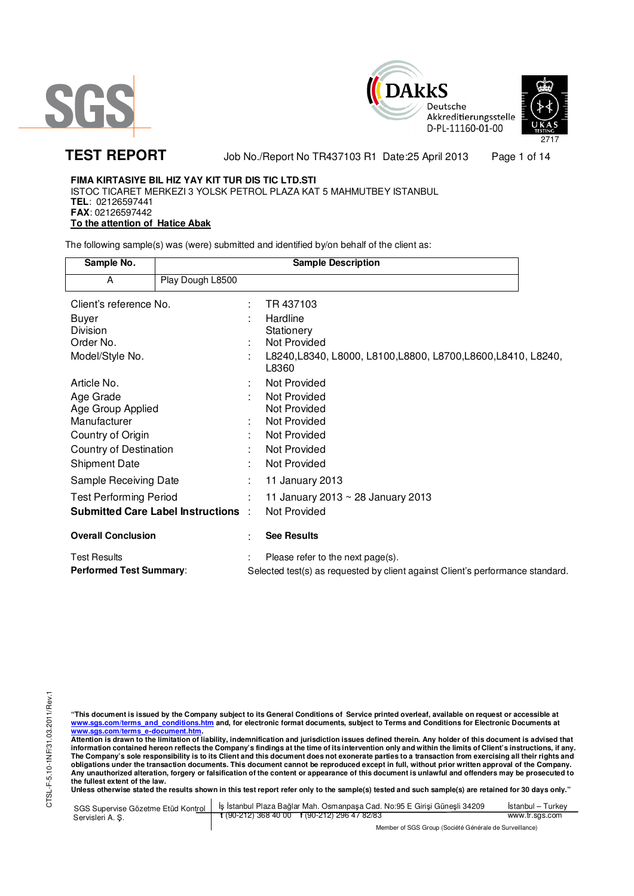





**TEST REPORT** Job No./Report No TR437103 R1 Date:25 April 2013 Page 1 of 14

# **FIMA KIRTASIYE BIL HIZ YAY KIT TUR DIS TIC LTD.STI**

ISTOC TICARET MERKEZI 3 YOLSK PETROL PLAZA KAT 5 MAHMUTBEY ISTANBUL **TEL**: 02126597441 **FAX**: 02126597442 **To the attention of Hatice Abak** 

The following sample(s) was (were) submitted and identified by/on behalf of the client as:

| Sample No.                                 | <b>Sample Description</b> |   |                                                                                |
|--------------------------------------------|---------------------------|---|--------------------------------------------------------------------------------|
| A                                          | Play Dough L8500          |   |                                                                                |
| Client's reference No.                     |                           |   | TR 437103                                                                      |
| Buyer                                      |                           |   | Hardline                                                                       |
| Division                                   |                           |   | Stationery                                                                     |
| Order No.                                  |                           |   | Not Provided                                                                   |
| Model/Style No.                            |                           |   | L8240, L8340, L8000, L8100, L8800, L8700, L8600, L8410, L8240,<br>L8360        |
| Article No.                                |                           |   | Not Provided                                                                   |
| Age Grade                                  |                           |   | Not Provided                                                                   |
| Age Group Applied                          |                           |   | Not Provided                                                                   |
| Manufacturer                               |                           |   | Not Provided                                                                   |
| Country of Origin                          |                           |   | Not Provided                                                                   |
| Country of Destination                     |                           |   | Not Provided                                                                   |
| <b>Shipment Date</b>                       |                           |   | Not Provided                                                                   |
| Sample Receiving Date                      |                           |   | 11 January 2013                                                                |
| <b>Test Performing Period</b>              |                           | ÷ | 11 January 2013 ~ 28 January 2013                                              |
| <b>Submitted Care Label Instructions :</b> |                           |   | Not Provided                                                                   |
| <b>Overall Conclusion</b>                  |                           |   | <b>See Results</b>                                                             |
| <b>Test Results</b>                        |                           |   | Please refer to the next page(s).                                              |
| <b>Performed Test Summary:</b>             |                           |   | Selected test(s) as requested by client against Client's performance standard. |

"This document is issued by the Company subject to its General Conditions of Service printed overleaf, available on request or accessible at<br><u>www.sgs.com/terms\_and\_conditions.htm</u>\_and, for electronic format documents, subj

<u>www.sgs.com/terms\_e-document.htm</u>.<br>Attention is drawn to the limitation of liability, indemnification and jurisdiction issues defined therein. Any holder of this document is advised that information contained hereon reflects the Company's findings at the time of its intervention only and within the limits of Client's instructions, if any.<br>The Company's sole responsibility is to its Client and this document **obligations under the transaction documents. This document cannot be reproduced except in full, without prior written approval of the Company. Any unauthorized alteration, forgery or falsification of the content or appearance of this document is unlawful and offenders may be prosecuted to the fullest extent of the law.** 

|                  | SGS Supervise Gözetme Etüd Kontrol   İş İstanbul Plaza Bağlar Mah. Osmanpaşa Cad. No:95 E Girisi Güneşli 34209 | Istanbul – Turkev |  |  |
|------------------|----------------------------------------------------------------------------------------------------------------|-------------------|--|--|
| Servisleri A. S. | $\frac{1}{2}$ (90-212) 368 40 00 f (90-212) 296 47 82/83                                                       | www.tr.sgs.com    |  |  |
|                  | Member of SGS Group (Société Générale de Surveillance)                                                         |                   |  |  |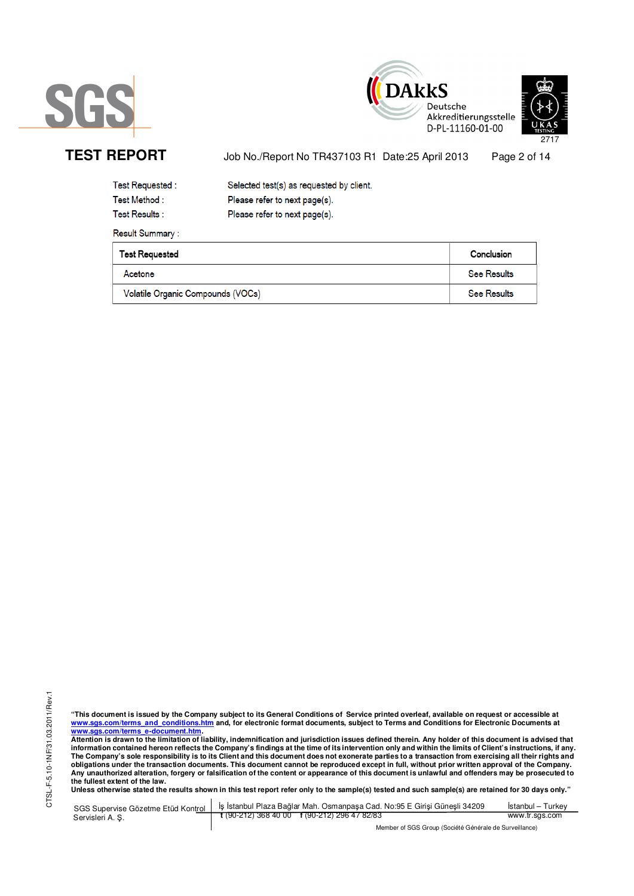





TEST REPORT Job No./Report No TR437103 R1 Date:25 April 2013 Page 2 of 14

| Test Requested :      | Selected test(s) as requested by client. |
|-----------------------|------------------------------------------|
| Test Method :         | Please refer to next page(s).            |
| <b>Test Results :</b> | Please refer to next page(s).            |

**Result Summary:** 

| <b>Test Requested</b>             | Conclusion         |
|-----------------------------------|--------------------|
| Acetone                           | <b>See Results</b> |
| Volatile Organic Compounds (VOCs) | <b>See Results</b> |

CTSL-F-5.10-1NF/31.03.2011/Rev.1 CTSL-F-5.10-1NF/31.03.2011/Rev.1

"This document is issued by the Company subject to its General Conditions of Service printed overleaf, available on request or accessible at<br><u>www.sgs.com/terms\_and\_conditions.htm</u>\_and, for electronic format documents, subj

<u>www.sgs.com/terms\_e-document.htm.</u><br>Attention is drawn to the limitation of liability, indemnification and jurisdiction issues defined therein. Any holder of this document is advised that<br>information contained hereon refle obligations under the transaction documents. This document cannot be reproduced except in full, without prior written approval of the Company.<br>Any unauthorized alteration, forgery or falsification of the content or appeara

**Unless otherwise stated the results shown in this test report refer only to the sample(s) tested and such sample(s) are retained for 30 days only."** 

|                  | SGS Supervise Gözetme Etüd Kontrol   İş İstanbul Plaza Bağlar Mah. Osmanpaşa Cad. No:95 E Girişi Güneşli 34209 | Istanbul – Turkev |
|------------------|----------------------------------------------------------------------------------------------------------------|-------------------|
| Servisleri A. S. | $\frac{1}{2}$ (90-212) 368 40 00 f (90-212) 296 47 82/83                                                       | www.tr.sgs.com    |
|                  | Member of SGS Group (Société Générale de Surveillance)                                                         |                   |

r of SGS Group (Société Générale de Surveillance)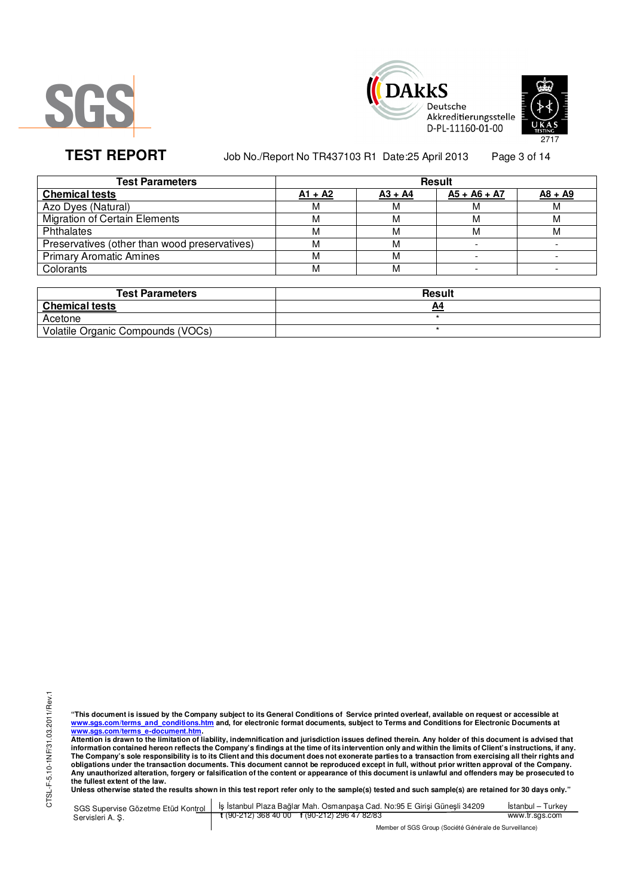





TEST REPORT Job No./Report No TR437103 R1 Date:25 April 2013 Page 3 of 14

| <b>Test Parameters</b>                        | <b>Result</b> |           |                |           |  |  |
|-----------------------------------------------|---------------|-----------|----------------|-----------|--|--|
| <b>Chemical tests</b>                         | $A1 + A2$     | $A3 + A4$ | $A5 + A6 + A7$ | $A8 + A9$ |  |  |
| Azo Dyes (Natural)                            |               | М         | М              | M         |  |  |
| <b>Migration of Certain Elements</b>          | М             | М         | M              | M         |  |  |
| Phthalates                                    | м             | М         | м              | м         |  |  |
| Preservatives (other than wood preservatives) |               | м         |                |           |  |  |
| <b>Primary Aromatic Amines</b>                |               | М         |                |           |  |  |
| Colorants                                     |               | М         |                |           |  |  |
|                                               |               |           |                |           |  |  |

| <b>Test Parameters</b>            | Result |
|-----------------------------------|--------|
| <b>Chemical tests</b>             | A4     |
| Acetone                           |        |
| Volatile Organic Compounds (VOCs) |        |

"This document is issued by the Company subject to its General Conditions of Service printed overleaf, available on request or accessible at<br><u>www.sgs.com/terms\_and\_conditions.htm</u>\_and, for electronic format documents, subj

<u>www.sgs.com/terms\_e-document.htm.</u><br>Attention is drawn to the limitation of liability, indemnification and jurisdiction issues defined therein. Any holder of this document is advised that<br>information contained hereon refle obligations under the transaction documents. This document cannot be reproduced except in full, without prior written approval of the Company.<br>Any unauthorized alteration, forgery or falsification of the content or appeara

**Unless otherwise stated the results shown in this test report refer only to the sample(s) tested and such sample(s) are retained for 30 days only."** 

|                  | SGS Supervise Gözetme Etüd Kontrol   İş İstanbul Plaza Bağlar Mah. Osmanpaşa Cad. No:95 E Girişi Güneşli 34209 | Istanbul – Turkev |
|------------------|----------------------------------------------------------------------------------------------------------------|-------------------|
| Servisleri A. S. | $\frac{1}{2}$ (90-212) 368 40 00 f (90-212) 296 47 82/83                                                       | www.tr.sgs.com    |
|                  | Member of SGS Group (Société Générale de Surveillance)                                                         |                   |

of SGS Group (Société Générale de Surveillance)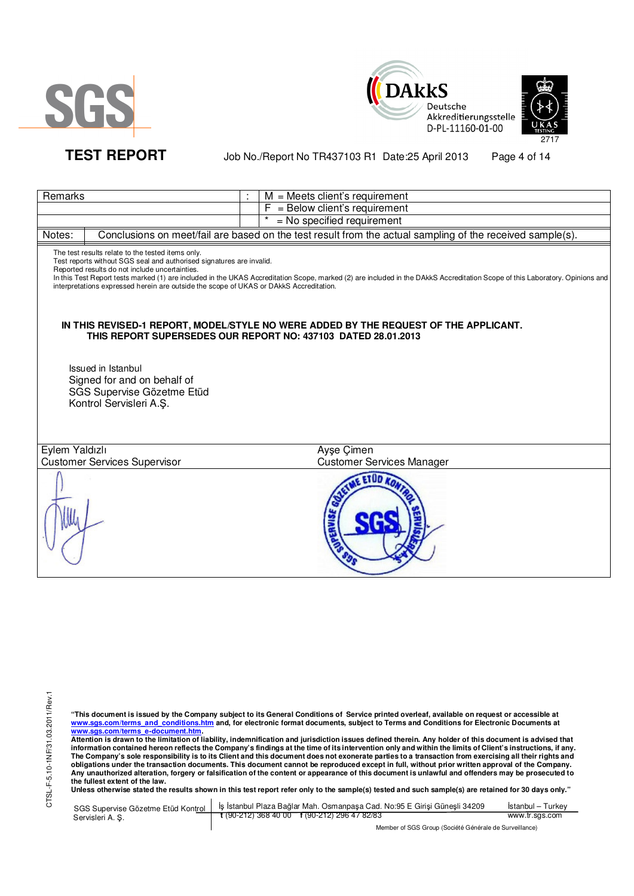





# TEST REPORT Job No./Report No TR437103 R1 Date:25 April 2013 Page 4 of 14

| Remarks                                                                                                                                                                                                                                                               |          | $M =$ Meets client's requirement                                                                                                                                             |
|-----------------------------------------------------------------------------------------------------------------------------------------------------------------------------------------------------------------------------------------------------------------------|----------|------------------------------------------------------------------------------------------------------------------------------------------------------------------------------|
|                                                                                                                                                                                                                                                                       | F        | = Below client's requirement                                                                                                                                                 |
|                                                                                                                                                                                                                                                                       | $^\star$ | = No specified requirement                                                                                                                                                   |
| Notes:                                                                                                                                                                                                                                                                |          | Conclusions on meet/fail are based on the test result from the actual sampling of the received sample(s).                                                                    |
| The test results relate to the tested items only.<br>Test reports without SGS seal and authorised signatures are invalid.<br>Reported results do not include uncertainties.<br>interpretations expressed herein are outside the scope of UKAS or DAkkS Accreditation. |          | In this Test Report tests marked (1) are included in the UKAS Accreditation Scope, marked (2) are included in the DAkkS Accreditation Scope of this Laboratory. Opinions and |
| THIS REPORT SUPERSEDES OUR REPORT NO: 437103 DATED 28.01.2013                                                                                                                                                                                                         |          | IN THIS REVISED-1 REPORT, MODEL/STYLE NO WERE ADDED BY THE REQUEST OF THE APPLICANT.                                                                                         |
| Issued in Istanbul<br>Signed for and on behalf of<br>SGS Supervise Gözetme Etüd<br>Kontrol Servisleri A.Ş.                                                                                                                                                            |          |                                                                                                                                                                              |
| Eylem Yaldızlı                                                                                                                                                                                                                                                        |          | Ayşe Çimen                                                                                                                                                                   |
| <b>Customer Services Supervisor</b>                                                                                                                                                                                                                                   |          | <b>Customer Services Manager</b>                                                                                                                                             |
|                                                                                                                                                                                                                                                                       |          | <b>ETOD KO</b>                                                                                                                                                               |

"This document is issued by the Company subject to its General Conditions of Service printed overleaf, available on request or accessible at<br><u>www.sgs.com/terms\_and\_conditions.htm</u>\_and, for electronic format documents, subj

<u>www.sgs.com/terms\_e-document.htm.</u><br>Attention is drawn to the limitation of liability, indemnification and jurisdiction issues defined therein. Any holder of this document is advised that<br>information contained hereon refle obligations under the transaction documents. This document cannot be reproduced except in full, without prior written approval of the Company.<br>Any unauthorized alteration, forgery or falsification of the content or appeara

|                  | SGS Supervise Gözetme Etüd Kontrol   İş İstanbul Plaza Bağlar Mah. Osmanpaşa Cad. No:95 E Girisi Günesli 34209 | Istanbul – Turkev |
|------------------|----------------------------------------------------------------------------------------------------------------|-------------------|
| Servisleri A. S. | $\frac{1}{2}$ (90-212) 368 40 00 f (90-212) 296 47 82/83                                                       | www.tr.sgs.com    |
|                  | Member of SGS Group (Société Générale de Surveillance)                                                         |                   |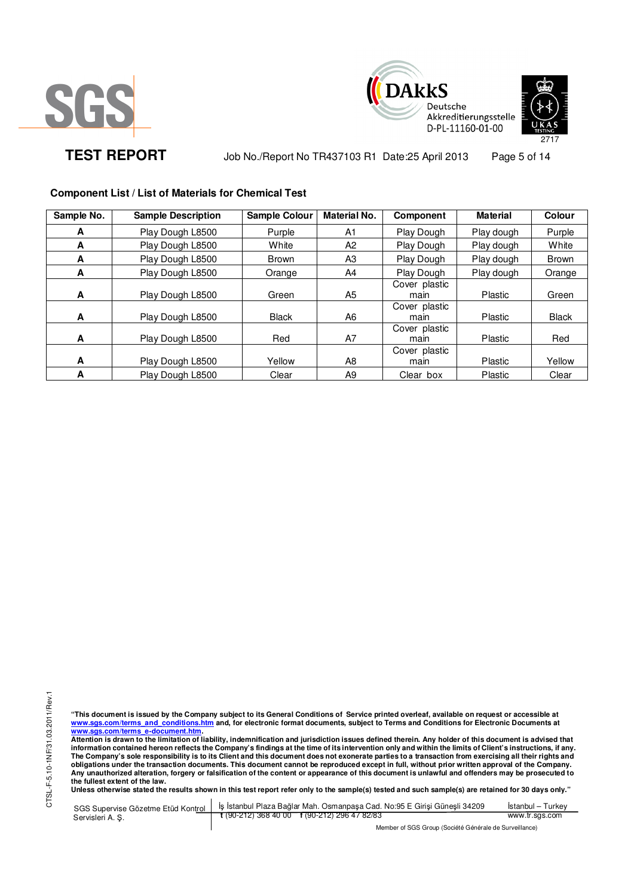





TEST REPORT Job No./Report No TR437103 R1 Date:25 April 2013 Page 5 of 14

# **Component List / List of Materials for Chemical Test**

| Sample No. | <b>Sample Description</b> | <b>Sample Colour</b> | <b>Material No.</b> | Component             | <b>Material</b> | Colour       |
|------------|---------------------------|----------------------|---------------------|-----------------------|-----------------|--------------|
| A          | Play Dough L8500          | Purple               | A <sub>1</sub>      | Play Dough            | Play dough      | Purple       |
| A          | Play Dough L8500          | White                | A <sub>2</sub>      | Play Dough            | Play dough      | White        |
| A          | Play Dough L8500          | <b>Brown</b>         | A3                  | Play Dough            | Play dough      | Brown        |
| A          | Play Dough L8500          | Orange               | A4                  | Play Dough            | Play dough      | Orange       |
| A          | Play Dough L8500          | Green                | A5                  | Cover plastic<br>main | Plastic         | Green        |
| A          | Play Dough L8500          | <b>Black</b>         | A6                  | Cover plastic<br>main | Plastic         | <b>Black</b> |
| A          | Play Dough L8500          | Red                  | A7                  | Cover plastic<br>main | <b>Plastic</b>  | Red          |
| A          | Play Dough L8500          | Yellow               | A8                  | Cover plastic<br>main | Plastic         | Yellow       |
| А          | Play Dough L8500          | Clear                | A <sub>9</sub>      | Clear box             | Plastic         | Clear        |

CTSL-F-5.10-1NF/31.03.2011/Rev.1 CTSL-F-5.10-1NF/31.03.2011/Rev.1

"This document is issued by the Company subject to its General Conditions of Service printed overleaf, available on request or accessible at<br><u>www.sgs.com/terms\_and\_conditions.htm</u>\_and, for electronic format documents, subj

<u>www.sgs.com/terms\_e-document.htm.</u><br>Attention is drawn to the limitation of liability, indemnification and jurisdiction issues defined therein. Any holder of this document is advised that<br>information contained hereon refle **obligations under the transaction documents. This document cannot be reproduced except in full, without prior written approval of the Company. Any unauthorized alteration, forgery or falsification of the content or appearance of this document is unlawful and offenders may be prosecuted to the fullest extent of the law.** 

**Unless otherwise stated the results shown in this test report refer only to the sample(s) tested and such sample(s) are retained for 30 days only."** 

|                  | SGS Supervise Gözetme Etüd Kontrol   İş İstanbul Plaza Bağlar Mah. Osmanpaşa Cad. No:95 E Girişi Güneşli 34209 | Istanbul – Turkev |
|------------------|----------------------------------------------------------------------------------------------------------------|-------------------|
| Servisleri A. S. | $\frac{1}{2}$ (90-212) 368 40 00 f (90-212) 296 47 82/83                                                       | www.tr.sgs.com    |
|                  | Member of SGS Group (Société Générale de Surveillance)                                                         |                   |

Member of SGS Group (Société Générale de Surveillance)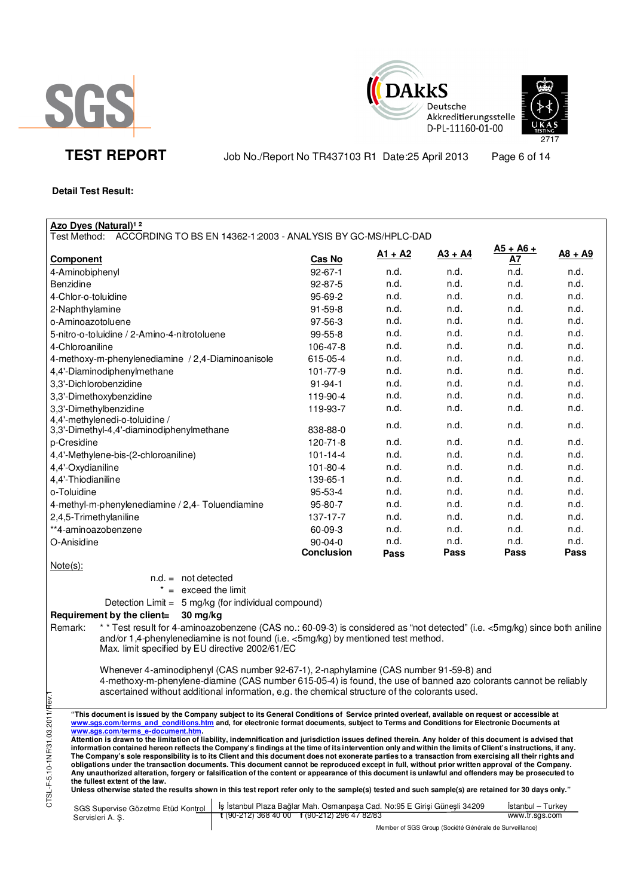





**TEST REPORT** Job No./Report No TR437103 R1 Date:25 April 2013 Page 6 of 14

# **Detail Test Result:**

Servisleri A. Ş.

| Azo Dyes (Natural) <sup>12</sup><br>ACCORDING TO BS EN 14362-1:2003 - ANALYSIS BY GC-MS/HPLC-DAD<br>Test Method:                                                                                                                                                                                                   |                |           |           |                   |           |
|--------------------------------------------------------------------------------------------------------------------------------------------------------------------------------------------------------------------------------------------------------------------------------------------------------------------|----------------|-----------|-----------|-------------------|-----------|
| <b>Component</b>                                                                                                                                                                                                                                                                                                   | Cas No         | $A1 + A2$ | $A3 + A4$ | $A5 + A6 +$<br>А7 | $A8 + A9$ |
| 4-Aminobiphenyl                                                                                                                                                                                                                                                                                                    | $92 - 67 - 1$  | n.d.      | n.d.      | n.d.              | n.d.      |
| Benzidine                                                                                                                                                                                                                                                                                                          | 92-87-5        | n.d.      | n.d.      | n.d.              | n.d.      |
| 4-Chlor-o-toluidine                                                                                                                                                                                                                                                                                                |                | n.d.      | n.d.      | n.d.              | n.d.      |
|                                                                                                                                                                                                                                                                                                                    | 95-69-2        |           | n.d.      | n.d.              | n.d.      |
| 2-Naphthylamine                                                                                                                                                                                                                                                                                                    | 91-59-8        | n.d.      |           |                   |           |
| o-Aminoazotoluene                                                                                                                                                                                                                                                                                                  | 97-56-3        | n.d.      | n.d.      | n.d.              | n.d.      |
| 5-nitro-o-toluidine / 2-Amino-4-nitrotoluene                                                                                                                                                                                                                                                                       | 99-55-8        | n.d.      | n.d.      | n.d.              | n.d.      |
| 4-Chloroaniline                                                                                                                                                                                                                                                                                                    | 106-47-8       | n.d.      | n.d.      | n.d.              | n.d.      |
| 4-methoxy-m-phenylenediamine / 2,4-Diaminoanisole                                                                                                                                                                                                                                                                  | 615-05-4       | n.d.      | n.d.      | n.d.              | n.d.      |
| 4,4'-Diaminodiphenylmethane                                                                                                                                                                                                                                                                                        | 101-77-9       | n.d.      | n.d.      | n.d.              | n.d.      |
| 3,3'-Dichlorobenzidine                                                                                                                                                                                                                                                                                             | $91 - 94 - 1$  | n.d.      | n.d.      | n.d.              | n.d.      |
| 3,3'-Dimethoxybenzidine                                                                                                                                                                                                                                                                                            | 119-90-4       | n.d.      | n.d.      | n.d.              | n.d.      |
| 3,3'-Dimethylbenzidine                                                                                                                                                                                                                                                                                             | 119-93-7       | n.d.      | n.d.      | n.d.              | n.d.      |
| 4,4'-methylenedi-o-toluidine /                                                                                                                                                                                                                                                                                     |                | n.d.      | n.d.      | n.d.              | n.d.      |
| 3,3'-Dimethyl-4,4'-diaminodiphenylmethane                                                                                                                                                                                                                                                                          | 838-88-0       |           |           |                   |           |
| p-Cresidine                                                                                                                                                                                                                                                                                                        | 120-71-8       | n.d.      | n.d.      | n.d.              | n.d.      |
| 4,4'-Methylene-bis-(2-chloroaniline)                                                                                                                                                                                                                                                                               | $101 - 14 - 4$ | n.d.      | n.d.      | n.d.              | n.d.      |
| 4,4'-Oxydianiline                                                                                                                                                                                                                                                                                                  | 101-80-4       | n.d.      | n.d.      | n.d.              | n.d.      |
| 4,4'-Thiodianiline                                                                                                                                                                                                                                                                                                 | 139-65-1       | n.d.      | n.d.      | n.d.              | n.d.      |
| o-Toluidine                                                                                                                                                                                                                                                                                                        | 95-53-4        | n.d.      | n.d.      | n.d.              | n.d.      |
| 4-methyl-m-phenylenediamine / 2,4- Toluendiamine                                                                                                                                                                                                                                                                   | 95-80-7        | n.d.      | n.d.      | n.d.              | n.d.      |
| 2,4,5-Trimethylaniline                                                                                                                                                                                                                                                                                             | 137-17-7       | n.d.      | n.d.      | n.d.              | n.d.      |
| **4-aminoazobenzene                                                                                                                                                                                                                                                                                                | 60-09-3        | n.d.      | n.d.      | n.d.              | n.d.      |
| O-Anisidine                                                                                                                                                                                                                                                                                                        | $90 - 04 - 0$  | n.d.      | n.d.      | n.d.              | n.d.      |
|                                                                                                                                                                                                                                                                                                                    | Conclusion     | Pass      | Pass      | Pass              | Pass      |
| $Note(s)$ :                                                                                                                                                                                                                                                                                                        |                |           |           |                   |           |
| $n.d. = not detected$                                                                                                                                                                                                                                                                                              |                |           |           |                   |           |
| $=$ exceed the limit                                                                                                                                                                                                                                                                                               |                |           |           |                   |           |
| Detection Limit = 5 mg/kg (for individual compound)                                                                                                                                                                                                                                                                |                |           |           |                   |           |
| Requirement by the client=<br>30 mg/kg                                                                                                                                                                                                                                                                             |                |           |           |                   |           |
| * * Test result for 4-aminoazobenzene (CAS no.: 60-09-3) is considered as "not detected" (i.e. <5mg/kg) since both aniline<br>Remark:                                                                                                                                                                              |                |           |           |                   |           |
| and/or 1,4-phenylenediamine is not found (i.e. <5mg/kg) by mentioned test method.                                                                                                                                                                                                                                  |                |           |           |                   |           |
| Max. limit specified by EU directive 2002/61/EC                                                                                                                                                                                                                                                                    |                |           |           |                   |           |
|                                                                                                                                                                                                                                                                                                                    |                |           |           |                   |           |
| Whenever 4-aminodiphenyl (CAS number 92-67-1), 2-naphylamine (CAS number 91-59-8) and                                                                                                                                                                                                                              |                |           |           |                   |           |
| 4-methoxy-m-phenylene-diamine (CAS number 615-05-4) is found, the use of banned azo colorants cannot be reliably                                                                                                                                                                                                   |                |           |           |                   |           |
| ascertained without additional information, e.g. the chemical structure of the colorants used.                                                                                                                                                                                                                     |                |           |           |                   |           |
|                                                                                                                                                                                                                                                                                                                    |                |           |           |                   |           |
| "This document is issued by the Company subject to its General Conditions of Service printed overleaf, available on request or accessible at<br>www.sgs.com/terms and conditions.htm and, for electronic format documents, subject to Terms and Conditions for Electronic Documents at                             |                |           |           |                   |           |
| www.sqs.com/terms e-document.htm.                                                                                                                                                                                                                                                                                  |                |           |           |                   |           |
| Attention is drawn to the limitation of liability, indemnification and jurisdiction issues defined therein. Any holder of this document is advised that                                                                                                                                                            |                |           |           |                   |           |
| information contained hereon reflects the Company's findings at the time of its intervention only and within the limits of Client's instructions, if any.<br>The Company's sole responsibility is to its Client and this document does not exonerate parties to a transaction from exercising all their rights and |                |           |           |                   |           |
| obligations under the transaction documents. This document cannot be reproduced except in full, without prior written approval of the Company.                                                                                                                                                                     |                |           |           |                   |           |
| Any unauthorized alteration, forgery or falsification of the content or appearance of this document is unlawful and offenders may be prosecuted to                                                                                                                                                                 |                |           |           |                   |           |
| CTSL-F-5.10-1NF/31.03.2011/Rev<br>the fullest extent of the law.<br>Unless otherwise stated the results shown in this test report refer only to the sample(s) tested and such sample(s) are retained for 30 days only."                                                                                            |                |           |           |                   |           |
|                                                                                                                                                                                                                                                                                                                    |                |           |           |                   |           |
| İş İstanbul Plaza Bağlar Mah. Osmanpaşa Cad. No:95 E Girişi Güneşli 34209<br>SGS Supervise Gözetme Etüd Kontrol                                                                                                                                                                                                    |                |           |           | Istanbul - Turkey |           |

www.tr.sgs.com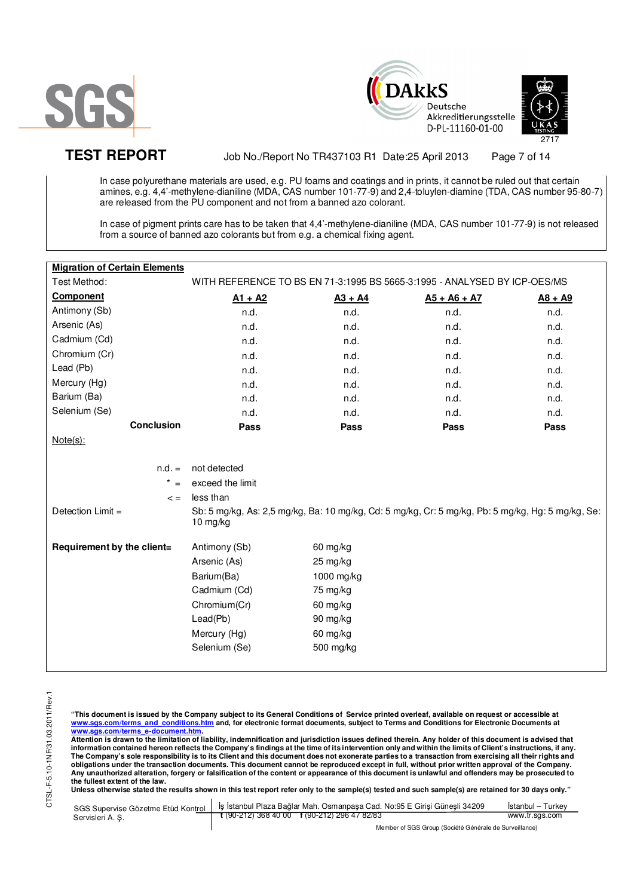





TEST REPORT Job No./Report No TR437103 R1 Date:25 April 2013 Page 7 of 14

In case polyurethane materials are used, e.g. PU foams and coatings and in prints, it cannot be ruled out that certain amines, e.g. 4,4'-methylene-dianiline (MDA, CAS number 101-77-9) and 2,4-toluylen-diamine (TDA, CAS number 95-80-7) are released from the PU component and not from a banned azo colorant.

In case of pigment prints care has to be taken that 4,4'-methylene-dianiline (MDA, CAS number 101-77-9) is not released from a source of banned azo colorants but from e.g. a chemical fixing agent.

| <b>Migration of Certain Elements</b> |                                                                                                               |            |                |           |
|--------------------------------------|---------------------------------------------------------------------------------------------------------------|------------|----------------|-----------|
| Test Method:                         | WITH REFERENCE TO BS EN 71-3:1995 BS 5665-3:1995 - ANALYSED BY ICP-OES/MS                                     |            |                |           |
| <b>Component</b>                     | $A1 + A2$                                                                                                     | $A3 + A4$  | $A5 + A6 + A7$ | $A8 + A9$ |
| Antimony (Sb)                        | n.d.                                                                                                          | n.d.       | n.d.           | n.d.      |
| Arsenic (As)                         | n.d.                                                                                                          | n.d.       | n.d.           | n.d.      |
| Cadmium (Cd)                         | n.d.                                                                                                          | n.d.       | n.d.           | n.d.      |
| Chromium (Cr)                        | n.d.                                                                                                          | n.d.       | n.d.           | n.d.      |
| Lead (Pb)                            | n.d.                                                                                                          | n.d.       | n.d.           | n.d.      |
| Mercury (Hg)                         | n.d.                                                                                                          | n.d.       | n.d.           | n.d.      |
| Barium (Ba)                          | n.d.                                                                                                          | n.d.       | n.d.           | n.d.      |
| Selenium (Se)                        | n.d.                                                                                                          | n.d.       | n.d.           | n.d.      |
| <b>Conclusion</b>                    | Pass                                                                                                          | Pass       | Pass           | Pass      |
| $Note(s)$ :                          |                                                                                                               |            |                |           |
|                                      |                                                                                                               |            |                |           |
| $n.d. =$                             | not detected                                                                                                  |            |                |           |
| $* =$                                | exceed the limit                                                                                              |            |                |           |
| $\leq$ =                             | less than                                                                                                     |            |                |           |
| Detection $Limit =$                  | Sb: 5 mg/kg, As: 2,5 mg/kg, Ba: 10 mg/kg, Cd: 5 mg/kg, Cr: 5 mg/kg, Pb: 5 mg/kg, Hg: 5 mg/kg, Se:<br>10 mg/kg |            |                |           |
| Requirement by the client=           | Antimony (Sb)                                                                                                 | 60 mg/kg   |                |           |
|                                      | Arsenic (As)                                                                                                  | 25 mg/kg   |                |           |
|                                      | Barium(Ba)                                                                                                    | 1000 mg/kg |                |           |
|                                      | Cadmium (Cd)                                                                                                  | 75 mg/kg   |                |           |
|                                      | Chromium(Cr)                                                                                                  | 60 mg/kg   |                |           |
|                                      | Lead(Pb)                                                                                                      | 90 mg/kg   |                |           |
|                                      | Mercury (Hg)                                                                                                  | 60 mg/kg   |                |           |
|                                      | Selenium (Se)                                                                                                 | 500 mg/kg  |                |           |
|                                      |                                                                                                               |            |                |           |

**"This document is issued by the Company subject to its General Conditions of Service printed overleaf, available on request or accessible at www.sgs.com/terms\_and\_conditions.htm and, for electronic format documents, subject to Terms and Conditions for Electronic Documents at** 

<u>www.sgs.com/terms\_e-document.htm</u>.<br>Attention is drawn to the limitation of liability, indemnification and jurisdiction issues defined therein. Any holder of this document is advised that information contained hereon reflects the Company's findings at the time of its intervention only and within the limits of Client's instructions, if any.<br>The Company's sole responsibility is to its Client and this document **obligations under the transaction documents. This document cannot be reproduced except in full, without prior written approval of the Company. Any unauthorized alteration, forgery or falsification of the content or appearance of this document is unlawful and offenders may be prosecuted to the fullest extent of the law.** 

|                  | SGS Supervise Gözetme Etüd Kontrol   İş İstanbul Plaza Bağlar Mah. Osmanpaşa Cad. No:95 E Girişi Güneşli 34209 | Istanbul – Turkev |
|------------------|----------------------------------------------------------------------------------------------------------------|-------------------|
| Servisleri A. S. | $\frac{1}{2}$ (90-212) 368 40 00 f (90-212) 296 47 82/83                                                       | www.tr.sgs.com    |
|                  | Member of SGS Group (Société Générale de Surveillance)                                                         |                   |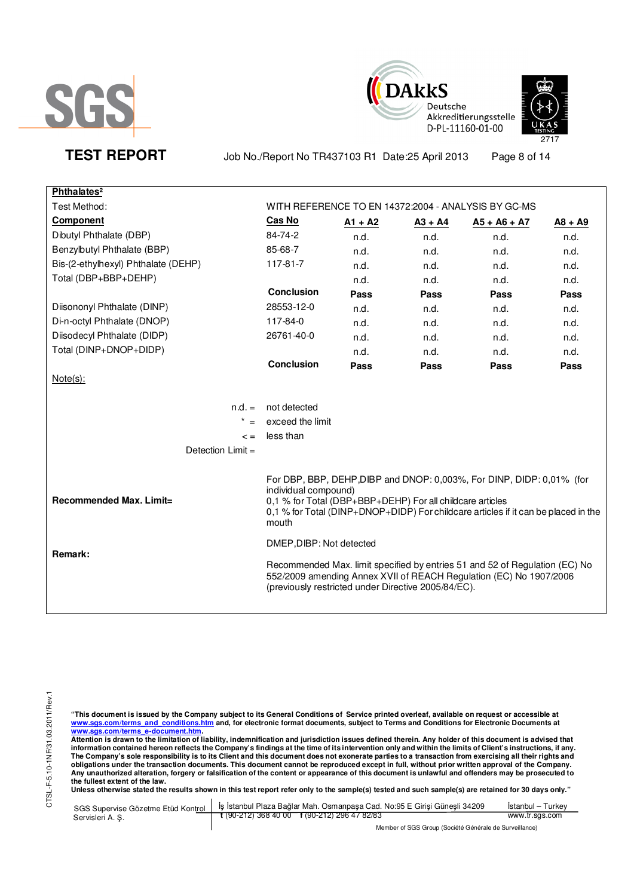





TEST REPORT Job No./Report No TR437103 R1 Date:25 April 2013 Page 8 of 14

| Phthalates <sup>2</sup>             |                                                                                            |           |           |                                                                                                                                                             |           |
|-------------------------------------|--------------------------------------------------------------------------------------------|-----------|-----------|-------------------------------------------------------------------------------------------------------------------------------------------------------------|-----------|
| Test Method:                        |                                                                                            |           |           | WITH REFERENCE TO EN 14372:2004 - ANALYSIS BY GC-MS                                                                                                         |           |
| Component                           | Cas No                                                                                     | $A1 + A2$ | $A3 + A4$ | $A5 + A6 + A7$                                                                                                                                              | $AB + A9$ |
| Dibutyl Phthalate (DBP)             | 84-74-2                                                                                    | n.d.      | n.d.      | n.d.                                                                                                                                                        | n.d.      |
| Benzylbutyl Phthalate (BBP)         | 85-68-7                                                                                    | n.d.      | n.d.      | n.d.                                                                                                                                                        | n.d.      |
| Bis-(2-ethylhexyl) Phthalate (DEHP) | 117-81-7                                                                                   | n.d.      | n.d.      | n.d.                                                                                                                                                        | n.d.      |
| Total (DBP+BBP+DEHP)                |                                                                                            | n.d.      | n.d.      | n.d.                                                                                                                                                        | n.d.      |
|                                     | <b>Conclusion</b>                                                                          | Pass      | Pass      | Pass                                                                                                                                                        | Pass      |
| Diisononyl Phthalate (DINP)         | 28553-12-0                                                                                 | n.d.      | n.d.      | n.d.                                                                                                                                                        | n.d.      |
| Di-n-octyl Phthalate (DNOP)         | 117-84-0                                                                                   | n.d.      | n.d.      | n.d.                                                                                                                                                        | n.d.      |
| Diisodecyl Phthalate (DIDP)         | 26761-40-0                                                                                 | n.d.      | n.d.      | n.d.                                                                                                                                                        | n.d.      |
| Total (DINP+DNOP+DIDP)              |                                                                                            | n.d.      | n.d.      | n.d.                                                                                                                                                        | n.d.      |
|                                     | <b>Conclusion</b>                                                                          | Pass      | Pass      | Pass                                                                                                                                                        | Pass      |
| Note(s):                            |                                                                                            |           |           |                                                                                                                                                             |           |
|                                     |                                                                                            |           |           |                                                                                                                                                             |           |
| $n.d. =$                            | not detected                                                                               |           |           |                                                                                                                                                             |           |
| $* =$                               | exceed the limit                                                                           |           |           |                                                                                                                                                             |           |
| $\leq$ $=$                          | less than                                                                                  |           |           |                                                                                                                                                             |           |
| Detection Limit =                   |                                                                                            |           |           |                                                                                                                                                             |           |
|                                     |                                                                                            |           |           |                                                                                                                                                             |           |
| Recommended Max. Limit=             | individual compound)<br>0,1 % for Total (DBP+BBP+DEHP) For all childcare articles<br>mouth |           |           | For DBP, BBP, DEHP, DIBP and DNOP: 0,003%, For DINP, DIDP: 0,01% (for<br>0,1 % for Total (DINP+DNOP+DIDP) For childcare articles if it can be placed in the |           |
|                                     | DMEP, DIBP: Not detected                                                                   |           |           |                                                                                                                                                             |           |
| Remark:                             | (previously restricted under Directive 2005/84/EC).                                        |           |           | Recommended Max. limit specified by entries 51 and 52 of Regulation (EC) No<br>552/2009 amending Annex XVII of REACH Regulation (EC) No 1907/2006           |           |

"This document is issued by the Company subject to its General Conditions of Service printed overleaf, available on request or accessible at<br><u>www.sgs.com/terms\_and\_conditions.htm</u>\_and, for electronic format documents, subj

<u>www.sgs.com/terms\_e-document.htm.</u><br>Attention is drawn to the limitation of liability, indemnification and jurisdiction issues defined therein. Any holder of this document is advised that<br>information contained hereon refle obligations under the transaction documents. This document cannot be reproduced except in full, without prior written approval of the Company.<br>Any unauthorized alteration, forgery or falsification of the content or appeara

| SGS Supervise Gözetme Etüd Kontrol | <sup>t</sup> İş İstanbul Plaza Bağlar Mah. Osmanpaşa Cad. No:95 E Girişi Güneşli 34209 | Istanbul – Turkev |
|------------------------------------|----------------------------------------------------------------------------------------|-------------------|
| Servisleri A.S.                    | $\frac{1}{2}$ (90-212) 368 40 00 f (90-212) 296 47 82/83                               | www.tr.sgs.com    |
|                                    | Member of SGS Group (Société Générale de Surveillance)                                 |                   |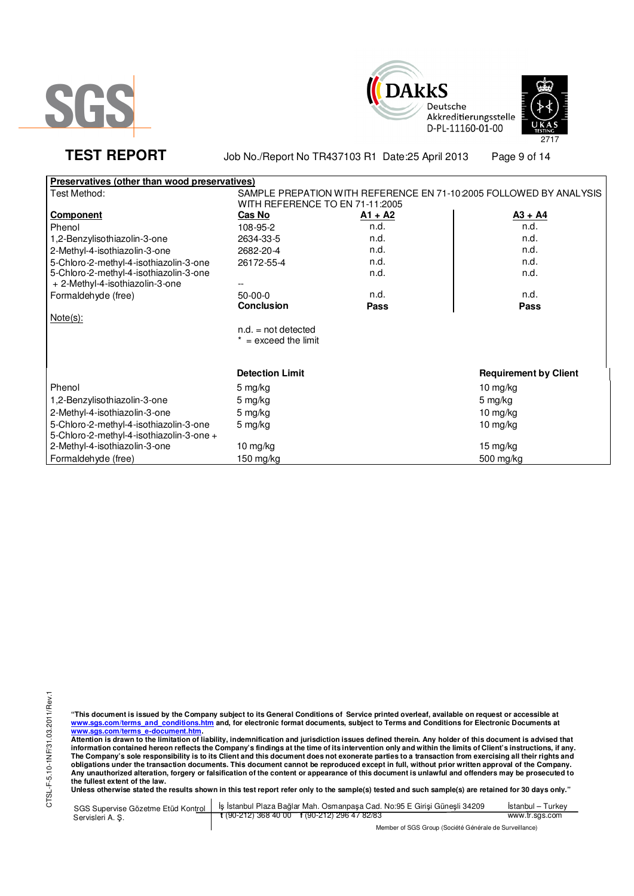





TEST REPORT Job No./Report No TR437103 R1 Date:25 April 2013 Page 9 of 14

| Preservatives (other than wood preservatives) |                                                                    |           |                              |
|-----------------------------------------------|--------------------------------------------------------------------|-----------|------------------------------|
| Test Method:                                  | SAMPLE PREPATION WITH REFERENCE EN 71-10:2005 FOLLOWED BY ANALYSIS |           |                              |
|                                               | WITH REFERENCE TO EN 71-11:2005                                    |           |                              |
| <b>Component</b>                              | <b>Cas No</b>                                                      | $A1 + A2$ | $A3 + A4$                    |
| Phenol                                        | 108-95-2                                                           | n.d.      | n.d.                         |
| 1,2-Benzylisothiazolin-3-one                  | 2634-33-5                                                          | n.d.      | n.d.                         |
| 2-Methyl-4-isothiazolin-3-one                 | 2682-20-4                                                          | n.d.      | n.d.                         |
| 5-Chloro-2-methyl-4-isothiazolin-3-one        | 26172-55-4                                                         | n.d.      | n.d.                         |
| 5-Chloro-2-methyl-4-isothiazolin-3-one        |                                                                    | n.d.      | n.d.                         |
| + 2-Methyl-4-isothiazolin-3-one               |                                                                    |           |                              |
| Formaldehyde (free)                           | $50-00-0$                                                          | n.d.      | n.d.                         |
|                                               | <b>Conclusion</b>                                                  | Pass      | Pass                         |
| $Note(s)$ :                                   |                                                                    |           |                              |
|                                               | $n.d. = not detected$                                              |           |                              |
|                                               | $* =$ exceed the limit                                             |           |                              |
|                                               |                                                                    |           |                              |
|                                               | <b>Detection Limit</b>                                             |           | <b>Requirement by Client</b> |
| Phenol                                        | 5 mg/kg                                                            |           | 10 mg/kg                     |
| 1,2-Benzylisothiazolin-3-one                  | 5 mg/kg                                                            |           | 5 mg/kg                      |
| 2-Methyl-4-isothiazolin-3-one                 | 5 mg/kg                                                            |           | 10 mg/kg                     |
| 5-Chloro-2-methyl-4-isothiazolin-3-one        | 5 mg/kg                                                            |           | $10$ mg/kg                   |
| 5-Chloro-2-methyl-4-isothiazolin-3-one +      |                                                                    |           |                              |
| 2-Methyl-4-isothiazolin-3-one                 | 10 mg/kg                                                           |           | 15 mg/kg                     |
| Formaldehyde (free)                           | $150$ mg/kg                                                        |           | 500 mg/kg                    |

"This document is issued by the Company subject to its General Conditions of Service printed overleaf, available on request or accessible at<br><u>www.sgs.com/terms\_and\_conditions.htm</u>\_and, for electronic format documents, subj

<u>www.sgs.com/terms\_e-document.htm.</u><br>Attention is drawn to the limitation of liability, indemnification and jurisdiction issues defined therein. Any holder of this document is advised that<br>information contained hereon refle obligations under the transaction documents. This document cannot be reproduced except in full, without prior written approval of the Company.<br>Any unauthorized alteration, forgery or falsification of the content or appeara

|                 | SGS Supervise Gözetme Etüd Kontrol   İş İstanbul Plaza Bağlar Mah. Osmanpaşa Cad. No:95 E Girişi Güneşli 34209 | Istanbul – Turkev |
|-----------------|----------------------------------------------------------------------------------------------------------------|-------------------|
| Servisleri A.S. | $\frac{1}{2}$ (90-212) 368 40 00 f (90-212) 296 47 82/83                                                       | www.tr.sas.com    |
|                 | Member of SGS Group (Société Générale de Surveillance)                                                         |                   |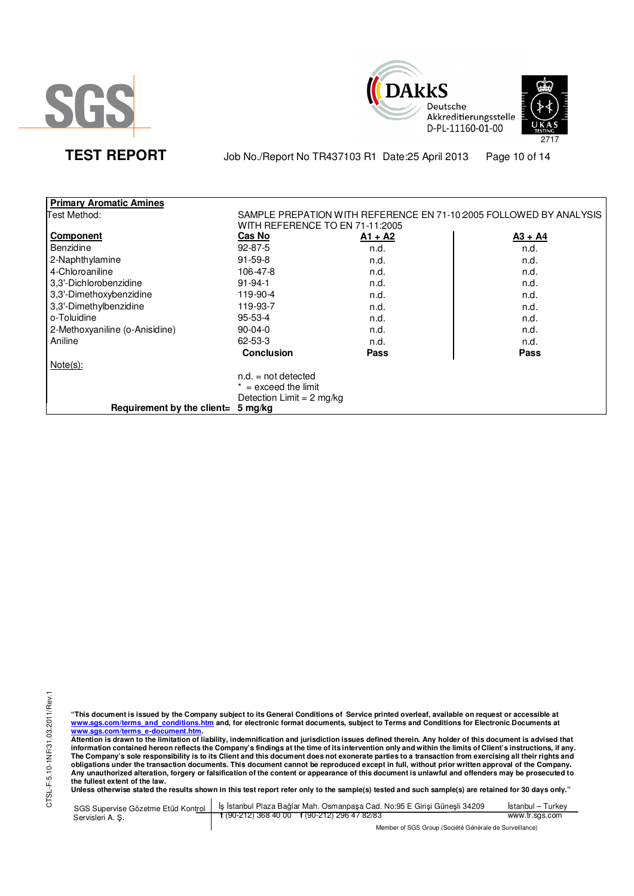





TEST REPORT Job No./Report No TR437103 R1 Date:25 April 2013 Page 10 of 14

| <b>Primary Aromatic Amines</b> |                                     |             |                                                                    |
|--------------------------------|-------------------------------------|-------------|--------------------------------------------------------------------|
| Test Method:                   | WITH REFERENCE TO EN 71-11:2005     |             | SAMPLE PREPATION WITH REFERENCE EN 71-10:2005 FOLLOWED BY ANALYSIS |
| Component                      | Cas No                              | $A1 + A2$   | $A3 + A4$                                                          |
| <b>Benzidine</b>               | $92 - 87 - 5$                       | n.d.        | n.d.                                                               |
| 2-Naphthylamine                | $91 - 59 - 8$                       | n.d.        | n.d.                                                               |
| 4-Chloroaniline                | 106-47-8                            | n.d.        | n.d.                                                               |
| 3,3'-Dichlorobenzidine         | $91 - 94 - 1$                       | n.d.        | n.d.                                                               |
| 3,3'-Dimethoxybenzidine        | 119-90-4                            | n.d.        | n.d.                                                               |
| 3,3'-Dimethylbenzidine         | 119-93-7                            | n.d.        | n.d.                                                               |
| o-Toluidine                    | $95 - 53 - 4$                       | n.d.        | n.d.                                                               |
| 2-Methoxyaniline (o-Anisidine) | $90-04-0$                           | n.d.        | n.d.                                                               |
| Aniline                        | 62-53-3                             | n.d.        | n.d.                                                               |
|                                | <b>Conclusion</b>                   | <b>Pass</b> | Pass                                                               |
| $Note(s)$ :                    |                                     |             |                                                                    |
|                                | $n.d. = not detected$               |             |                                                                    |
|                                | $=$ exceed the limit                |             |                                                                    |
|                                | Detection Limit = $2 \text{ mg/kg}$ |             |                                                                    |
| Requirement by the client=     | 5 mg/kg                             |             |                                                                    |

CTSL-F-5.10-1NF/31.03.2011/Rev.1 CTSL-F-5.10-1NF/31.03.2011/Rev.1

"This document is issued by the Company subject to its General Conditions of Service printed overleaf, available on request or accessible at<br><u>www.sgs.com/terms\_and\_conditions.htm</u>\_and, for electronic format documents, subj

<u>www.sgs.com/terms\_e-document.htm.</u><br>Attention is drawn to the limitation of liability, indemnification and jurisdiction issues defined therein. Any holder of this document is advised that<br>information contained hereon refle obligations under the transaction documents. This document cannot be reproduced except in full, without prior written approval of the Company.<br>Any unauthorized alteration, forgery or falsification of the content or appeara

| SGS Supervise Gözetme Etüd Kontrol | İş İstanbul Plaza Bağlar Mah. Osmanpaşa Cad. No:95 E Girişi Güneşli 34209 | Istanbul – Turkev |
|------------------------------------|---------------------------------------------------------------------------|-------------------|
| Servisleri A.S.                    | $\frac{1}{2}$ (90-212) 368 40 00 f (90-212) 296 47 82/83                  | www.tr.sgs.com    |
|                                    | Member of SGS Group (Société Générale de Surveillance)                    |                   |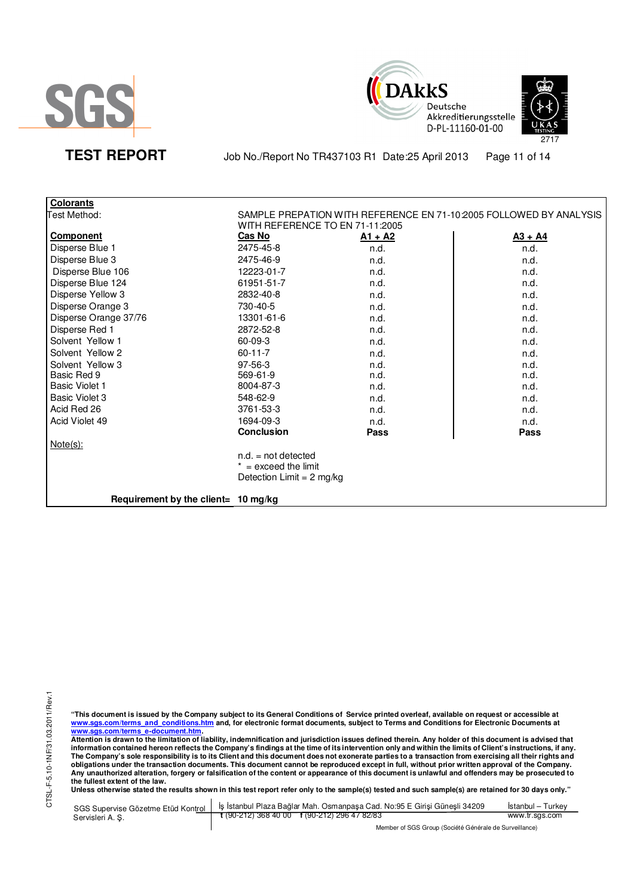



TEST REPORT Job No./Report No TR437103 R1 Date:25 April 2013 Page 11 of 14

| <b>Colorants</b>                    |                           |                                 |                                                                    |
|-------------------------------------|---------------------------|---------------------------------|--------------------------------------------------------------------|
| Test Method:                        |                           |                                 | SAMPLE PREPATION WITH REFERENCE EN 71-10:2005 FOLLOWED BY ANALYSIS |
|                                     |                           | WITH REFERENCE TO EN 71-11:2005 |                                                                    |
| <b>Component</b>                    | <b>Cas No</b>             | <u>A1 + A2</u>                  | $A3 + A4$                                                          |
| Disperse Blue 1                     | 2475-45-8                 | n.d.                            | n.d.                                                               |
| Disperse Blue 3                     | 2475-46-9                 | n.d.                            | n.d.                                                               |
| Disperse Blue 106                   | 12223-01-7                | n.d.                            | n.d.                                                               |
| Disperse Blue 124                   | 61951-51-7                | n.d.                            | n.d.                                                               |
| Disperse Yellow 3                   | 2832-40-8                 | n.d.                            | n.d.                                                               |
| Disperse Orange 3                   | 730-40-5                  | n.d.                            | n.d.                                                               |
| Disperse Orange 37/76               | 13301-61-6                | n.d.                            | n.d.                                                               |
| Disperse Red 1                      | 2872-52-8                 | n.d.                            | n.d.                                                               |
| Solvent Yellow 1                    | 60-09-3                   | n.d.                            | n.d.                                                               |
| Solvent Yellow 2                    | $60 - 11 - 7$             | n.d.                            | n.d.                                                               |
| Solvent Yellow 3                    | 97-56-3                   | n.d.                            | n.d.                                                               |
| Basic Red 9                         | 569-61-9                  | n.d.                            | n.d.                                                               |
| <b>Basic Violet 1</b>               | 8004-87-3                 | n.d.                            | n.d.                                                               |
| Basic Violet 3                      | 548-62-9                  | n.d.                            | n.d.                                                               |
| Acid Red 26                         | 3761-53-3                 | n.d.                            | n.d.                                                               |
| Acid Violet 49                      | 1694-09-3                 | n.d.                            | n.d.                                                               |
|                                     | <b>Conclusion</b>         | Pass                            | <b>Pass</b>                                                        |
| Note(s):                            |                           |                                 |                                                                    |
|                                     | $n.d. = not detected$     |                                 |                                                                    |
|                                     | $* =$ exceed the limit    |                                 |                                                                    |
|                                     | Detection Limit = 2 mg/kg |                                 |                                                                    |
| Requirement by the client= 10 mg/kg |                           |                                 |                                                                    |

CTSL-F-5.10-1NF/31.03.2011/Rev.1 CTSL-F-5.10-1NF/31.03.2011/Rev.1

"This document is issued by the Company subject to its General Conditions of Service printed overleaf, available on request or accessible at<br><u>www.sgs.com/terms\_and\_conditions.htm</u>\_and, for electronic format documents, subj

<u>www.sgs.com/terms\_e-document.htm.</u><br>Attention is drawn to the limitation of liability, indemnification and jurisdiction issues defined therein. Any holder of this document is advised that<br>information contained hereon refle obligations under the transaction documents. This document cannot be reproduced except in full, without prior written approval of the Company.<br>Any unauthorized alteration, forgery or falsification of the content or appeara

|                  | SGS Supervise Gözetme Etüd Kontrol   İş İstanbul Plaza Bağlar Mah. Osmanpaşa Cad. No:95 E Girişi Güneşli 34209 | Istanbul – Turkev |
|------------------|----------------------------------------------------------------------------------------------------------------|-------------------|
| Servisleri A. S. | t (90-212) 368 40 00 f (90-212) 296 47 82/83                                                                   | www.tr.sgs.com    |
|                  | Member of SGS Group (Société Générale de Surveillance)                                                         |                   |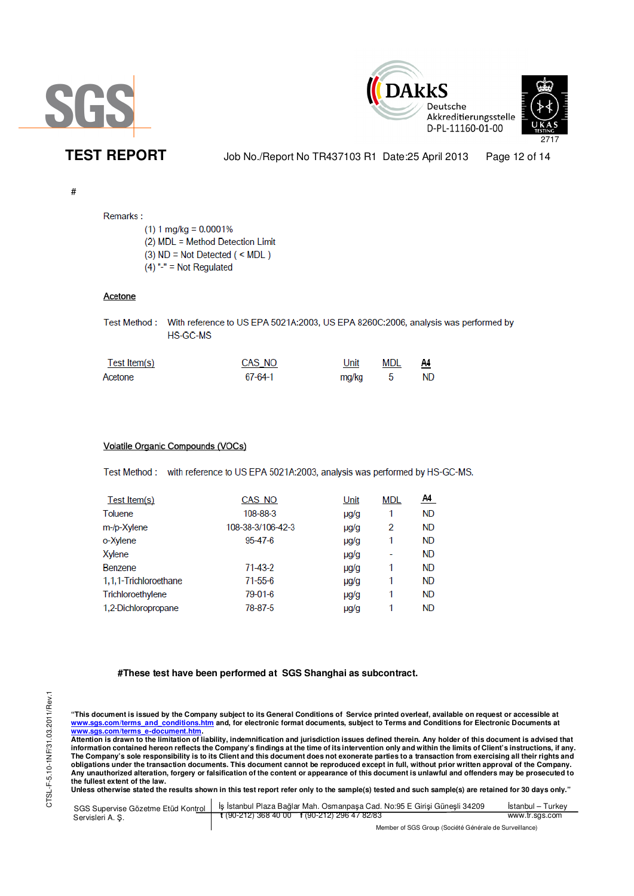





TEST REPORT Job No./Report No TR437103 R1 Date:25 April 2013 Page 12 of 14

### #

# Remarks:

 $(1)$  1 mg/kg = 0.0001% (2) MDL = Method Detection Limit  $(3)$  ND = Not Detected  $($  < MDL)  $(4)$  "-" = Not Regulated

## Acetone

| Test Method: With reference to US EPA 5021A:2003, US EPA 8260C:2006, analysis was performed by |
|------------------------------------------------------------------------------------------------|
| HS-GC-MS                                                                                       |

| Test Item(s) | CAS_NO  | Unit  | MDL<br>$ -$ | A4  |
|--------------|---------|-------|-------------|-----|
| Acetone      | 67-64-1 | mg/kg |             | ND. |

## Volatile Organic Compounds (VOCs)

Test Method: with reference to US EPA 5021A:2003, analysis was performed by HS-GC-MS.

| Test Item(s)          | CAS NO            | Unit      | <b>MDL</b> | <u>A4</u> |
|-----------------------|-------------------|-----------|------------|-----------|
| Toluene               | 108-88-3          | µg/g      | 1          | <b>ND</b> |
| m-/p-Xylene           | 108-38-3/106-42-3 | $\mu$ g/g | 2          | <b>ND</b> |
| <sub>b</sub> -Xylene  | $95 - 47 - 6$     | $\mu q/q$ | 1          | <b>ND</b> |
| Xylene                |                   | $\mu$ g/g | ٠          | <b>ND</b> |
| Benzene               | $71 - 43 - 2$     | $\mu$ g/g | 1          | <b>ND</b> |
| 1,1,1-Trichloroethane | $71 - 55 - 6$     | µg/g      | 1          | <b>ND</b> |
| Trichloroethylene     | 79-01-6           | $\mu$ g/g | 1          | <b>ND</b> |
| 1,2-Dichloropropane   | 78-87-5           | $\mu$ g/g | 1          | <b>ND</b> |
|                       |                   |           |            |           |

## **#These test have been performed at SGS Shanghai as subcontract.**

"This document is issued by the Company subject to its General Conditions of Service printed overleaf, available on request or accessible at<br><u>www.sgs.com/terms\_and\_conditions.htm</u>\_and, for electronic format documents, subj <u>www.sgs.com/terms\_e-document.htm</u>.<br>Attention is drawn to the limitation of liability, indemnification and jurisdiction issues defined therein. Any holder of this document is advised that

information contained hereon reflects the Company's findings at the time of its intervention only and within the limits of Client's instructions, if any.<br>The Company's sole responsibility is to its Client and this document **obligations under the transaction documents. This document cannot be reproduced except in full, without prior written approval of the Company. Any unauthorized alteration, forgery or falsification of the content or appearance of this document is unlawful and offenders may be prosecuted to the fullest extent of the law.** 

| SGS Supervise Gözetme Etüd Kontrol | I İş İstanbul Plaza Bağlar Mah. Osmanpaşa Cad. No:95 E Girişi Güneşli 34209 | Istanbul – Turkev |  |
|------------------------------------|-----------------------------------------------------------------------------|-------------------|--|
| Servisleri A.S.                    | $\frac{1}{2}$ (90-212) 368 40 00 f (90-212) 296 47 82/83                    | www.tr.sgs.com    |  |
|                                    | Member of SGS Group (Société Générale de Surveillance)                      |                   |  |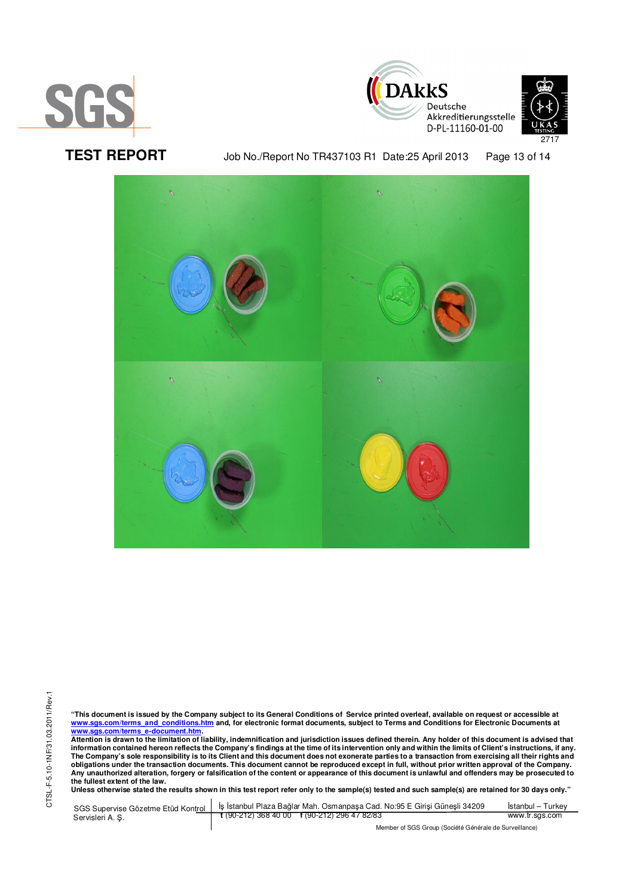





TEST REPORT Job No./Report No TR437103 R1 Date:25 April 2013 Page 13 of 14



CTSL-F-5.10-1NF/31.03.2011/Rev.1 CTSL-F-5.10-1NF/31.03.2011/Rev.1

"This document is issued by the Company subject to its General Conditions of Service printed overleaf, available on request or accessible at<br><u>www.sgs.com/terms\_and\_conditions.htm</u>\_and, for electronic format documents, subj

<u>www.sgs.com/terms\_e-document.htm.</u><br>Attention is drawn to the limitation of liability, indemnification and jurisdiction issues defined therein. Any holder of this document is advised that<br>information contained hereon refle obligations under the transaction documents. This document cannot be reproduced except in full, without prior written approval of the Company.<br>Any unauthorized alteration, forgery or falsification of the content or appeara

**Unless otherwise stated the results shown in this test report refer only to the sample(s) tested and such sample(s) are retained for 30 days only."** 

| SGS Supervise Gözetme Etüd Kontrol | I İs İstanbul Plaza Bağlar Mah. Osmanpasa Cad. No:95 E Girisi Günesli 34209 | Istanbul – Turkev                                      |  |
|------------------------------------|-----------------------------------------------------------------------------|--------------------------------------------------------|--|
| Servisleri A. S.                   | $\frac{1}{2}$ (90-212) 368 40 00 f (90-212) 296 47 82/83                    | www.tr.sgs.com                                         |  |
|                                    |                                                                             | Member of SGS Group (Société Générale de Surveillance) |  |

SGS Group (Société Générale de Surveillance)